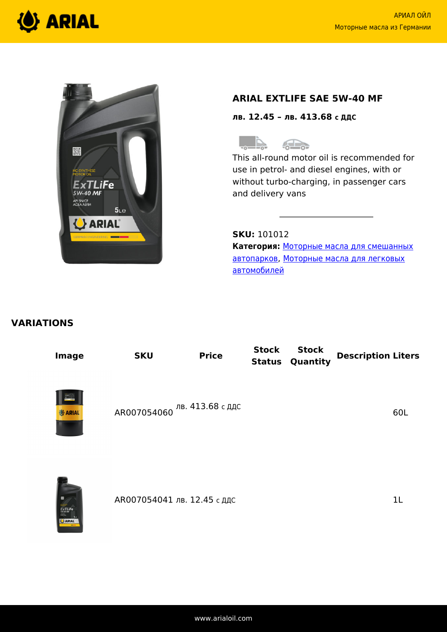



# **ARIAL EXTLIFE SAE 5W-40 MF**

**лв. 12.45 – лв. 413.68 с ДДС**



This all-round motor oil is recommended for use in petrol- and diesel engines, with or without turbo-charging, in passenger cars and delivery vans

**SKU:** 101012 **Категория:** [Моторные масла для смешанных](https://www.arialoil.com/ru/product-category/engine-oils/engine-oils-for-mixed-fleets/) [автопарков](https://www.arialoil.com/ru/product-category/engine-oils/engine-oils-for-mixed-fleets/), [Моторные масла для легковых](https://www.arialoil.com/ru/product-category/engine-oils/engine-oils-for-passenger-cars/) [автомобилей](https://www.arialoil.com/ru/product-category/engine-oils/engine-oils-for-passenger-cars/)

# **VARIATIONS**

| <b>Image</b>   | <b>SKU</b> | <b>Price</b>                 | <b>Stock</b><br><b>Status</b> | <b>Stock</b><br>Quantity | <b>Description Liters</b> |
|----------------|------------|------------------------------|-------------------------------|--------------------------|---------------------------|
| <b>O</b> ARIAL |            | АR007054060 Лв. 413.68 с ддс |                               |                          | 60L                       |



АR007054041 лв. 12.45 с ддс 1L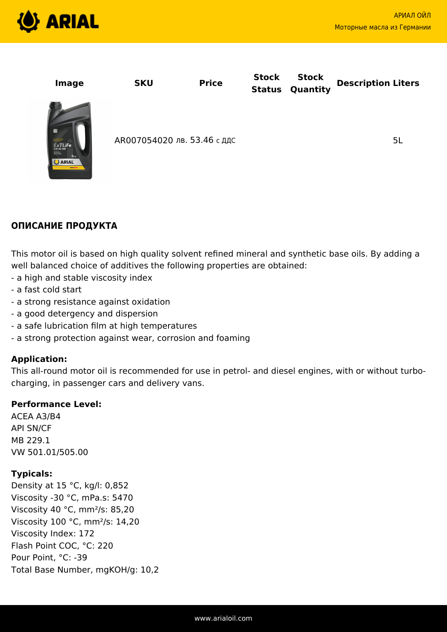

| <b>Image</b>                                                                           | <b>SKU</b>                  | <b>Price</b> | <b>Stock</b><br><b>Status</b> | <b>Stock</b><br>Quantity | <b>Description Liters</b> |
|----------------------------------------------------------------------------------------|-----------------------------|--------------|-------------------------------|--------------------------|---------------------------|
| $ExTairFe$ <sub>sw-40</sub> $MF$<br>AN SHOP<br>5 <sub>Le</sub><br><b>U</b> ARIAL<br>-- | АR007054020 лв. 53.46 с ддс |              |                               |                          | 5L                        |

# **ОПИСАНИЕ ПРОДУКТА**

This motor oil is based on high quality solvent refined mineral and synthetic base oils. By adding a well balanced choice of additives the following properties are obtained:

- a high and stable viscosity index
- a fast cold start
- a strong resistance against oxidation
- a good detergency and dispersion
- a safe lubrication film at high temperatures
- a strong protection against wear, corrosion and foaming

#### **Application:**

This all-round motor oil is recommended for use in petrol- and diesel engines, with or without turbocharging, in passenger cars and delivery vans.

#### **Performance Level:**

ACEA A3/B4 API SN/CF MB 229.1 VW 501.01/505.00

### **Typicals:**

Density at 15 °C, kg/l: 0,852 Viscosity -30 °C, mPa.s: 5470 Viscosity 40 °C, mm²/s: 85,20 Viscosity 100 °C, mm²/s: 14,20 Viscosity Index: 172 Flash Point COC, °C: 220 Pour Point, °C: -39 Total Base Number, mgKOH/g: 10,2